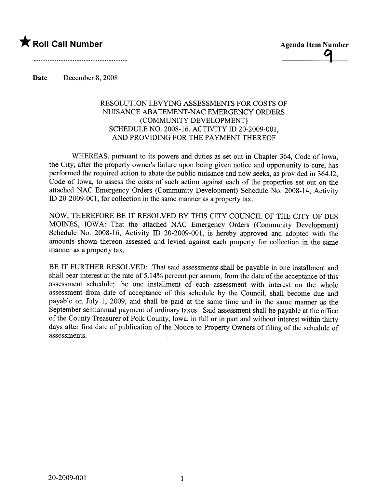

Date December 8, 2008

## RESOLUTION LEVYING ASSESSMENTS FOR COSTS OF NUISANCE ABATEMENT-NAC EMERGENCY ORDERS (COMMUNITY DEVELOPMENT) SCHEDULE NO. 2008-16, ACTIVITY ID 20-2009-001, AND PROVIDING FOR THE PAYMENT THEREOF

WHEREAS, pursuant to its powers and duties as set out in Chapter 364, Code of Iowa, the City, after the property owner's failure upon being given notice and opportunity to cure, has performed the required action to abate the public nuisance and now seeks, as provided in 364.12, Code of Iowa, to assess the costs of such action against each of the properties set out on the attached NAC Emergency Orders (Community Development) Schedule No. 2008-14, Activity ID 20-2009-001, for collection in the same manner as a property tax.

NOW, THEREFORE BE IT RESOLVED BY THIS CITY COUNCIL OF THE CITY OF DES MOINS, IOWA: That the attached NAC Emergency Orders (Community Development) Schedule No. 2008-16, Activity ID 20-2009-001, is hereby approved and adopted with the amounts shown thereon assessed and levied against each property for collection in the same maner as a property tax.

BE IT FURTHER RESOLVED: That said assessments shall be payable in one installment and shall bear interest at the rate of 5.14% percent per annum, from the date of the acceptance of this assessment schedule; the one installment of each assessment with interest on the whole assessment from date of acceptance of this schedule by the Council, shall become due and payable on July 1, 2009, and shall be paid at the same time and in the same manner as the September semiannual payment of ordinary taxes. Said assessment shall be payable at the office of the County Treasurer of Polk County, Iowa, in full or in part and without interest within thirty days after first date of publication of the Notice to Property Owners of fiing of the schedule of assessments.